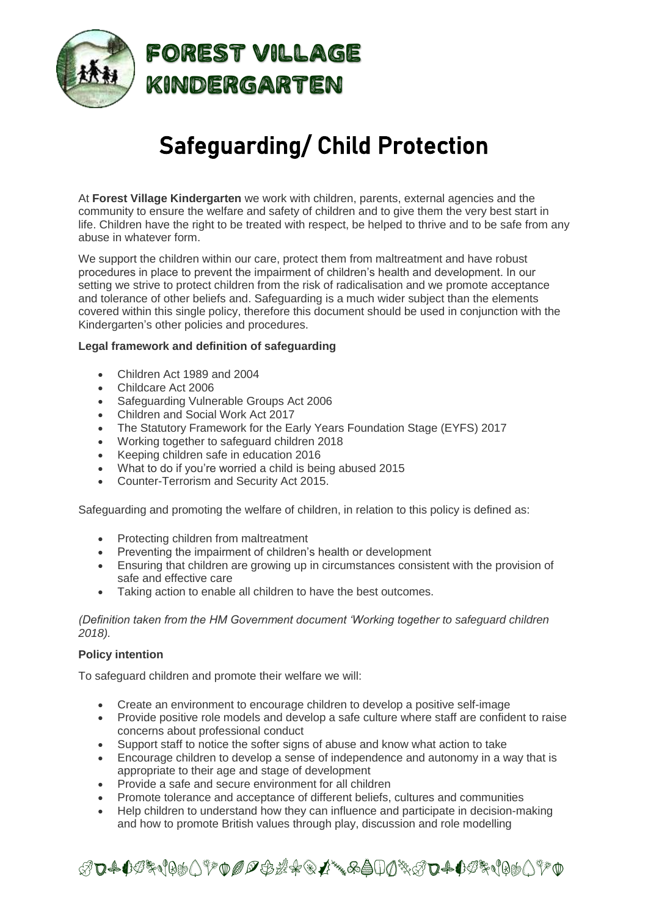

# Safeguarding/ Child Protection

At **Forest Village Kindergarten** we work with children, parents, external agencies and the community to ensure the welfare and safety of children and to give them the very best start in life. Children have the right to be treated with respect, be helped to thrive and to be safe from any abuse in whatever form.

We support the children within our care, protect them from maltreatment and have robust procedures in place to prevent the impairment of children's health and development. In our setting we strive to protect children from the risk of radicalisation and we promote acceptance and tolerance of other beliefs and. Safeguarding is a much wider subject than the elements covered within this single policy, therefore this document should be used in conjunction with the Kindergarten's other policies and procedures.

# **Legal framework and definition of safeguarding**

- Children Act 1989 and 2004
- Childcare Act 2006
- Safeguarding Vulnerable Groups Act 2006
- Children and Social Work Act 2017
- The Statutory Framework for the Early Years Foundation Stage (EYFS) 2017
- Working together to safeguard children 2018
- Keeping children safe in education 2016
- What to do if you're worried a child is being abused 2015
- Counter-Terrorism and Security Act 2015.

Safeguarding and promoting the welfare of children, in relation to this policy is defined as:

- Protecting children from maltreatment
- Preventing the impairment of children's health or development
- Ensuring that children are growing up in circumstances consistent with the provision of safe and effective care
- Taking action to enable all children to have the best outcomes.

*(Definition taken from the HM Government document 'Working together to safeguard children 2018).*

## **Policy intention**

To safeguard children and promote their welfare we will:

- Create an environment to encourage children to develop a positive self-image
- Provide positive role models and develop a safe culture where staff are confident to raise concerns about professional conduct
- Support staff to notice the softer signs of abuse and know what action to take
- Encourage children to develop a sense of independence and autonomy in a way that is appropriate to their age and stage of development
- Provide a safe and secure environment for all children
- Promote tolerance and acceptance of different beliefs, cultures and communities
- Help children to understand how they can influence and participate in decision-making and how to promote British values through play, discussion and role modelling

ℛ℧₳℧ℐ℁℩℻Å⅀ℱ℗*ℐ℺℗ℛ℀℗Å*℠℅Åℿⅆ℁ℛ℧₳℧ℱ℩℻℩℻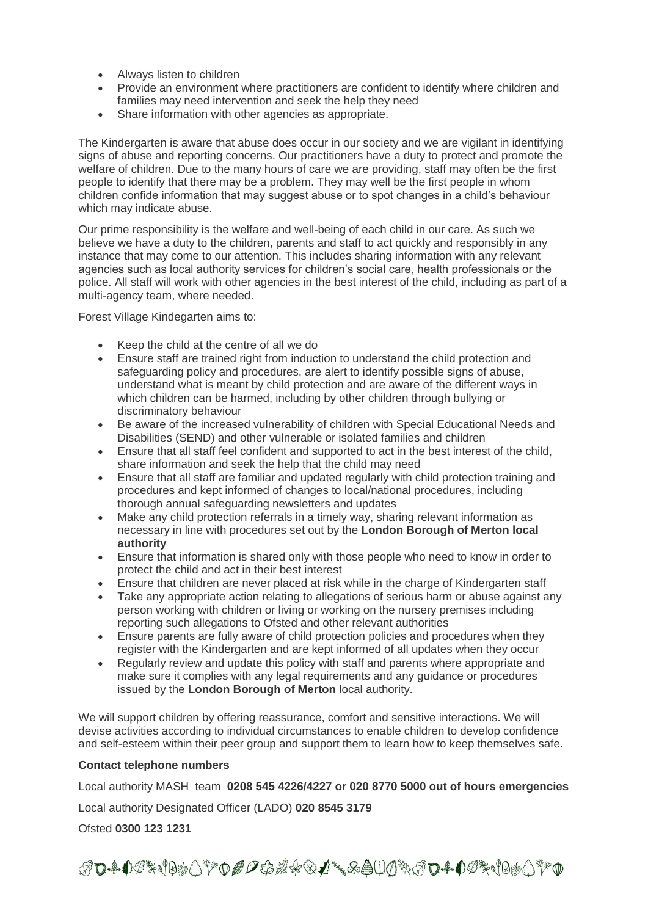- Always listen to children
- Provide an environment where practitioners are confident to identify where children and families may need intervention and seek the help they need
- Share information with other agencies as appropriate.

The Kindergarten is aware that abuse does occur in our society and we are vigilant in identifying signs of abuse and reporting concerns. Our practitioners have a duty to protect and promote the welfare of children. Due to the many hours of care we are providing, staff may often be the first people to identify that there may be a problem. They may well be the first people in whom children confide information that may suggest abuse or to spot changes in a child's behaviour which may indicate abuse.

Our prime responsibility is the welfare and well-being of each child in our care. As such we believe we have a duty to the children, parents and staff to act quickly and responsibly in any instance that may come to our attention. This includes sharing information with any relevant agencies such as local authority services for children's social care, health professionals or the police. All staff will work with other agencies in the best interest of the child, including as part of a multi-agency team, where needed.

Forest Village Kindegarten aims to:

- Keep the child at the centre of all we do
- Ensure staff are trained right from induction to understand the child protection and safeguarding policy and procedures, are alert to identify possible signs of abuse, understand what is meant by child protection and are aware of the different ways in which children can be harmed, including by other children through bullying or discriminatory behaviour
- Be aware of the increased vulnerability of children with Special Educational Needs and Disabilities (SEND) and other vulnerable or isolated families and children
- Ensure that all staff feel confident and supported to act in the best interest of the child, share information and seek the help that the child may need
- Ensure that all staff are familiar and updated regularly with child protection training and procedures and kept informed of changes to local/national procedures, including thorough annual safeguarding newsletters and updates
- Make any child protection referrals in a timely way, sharing relevant information as necessary in line with procedures set out by the **London Borough of Merton local authority**
- Ensure that information is shared only with those people who need to know in order to protect the child and act in their best interest
- Ensure that children are never placed at risk while in the charge of Kindergarten staff
- Take any appropriate action relating to allegations of serious harm or abuse against any person working with children or living or working on the nursery premises including reporting such allegations to Ofsted and other relevant authorities
- Ensure parents are fully aware of child protection policies and procedures when they register with the Kindergarten and are kept informed of all updates when they occur
- Regularly review and update this policy with staff and parents where appropriate and make sure it complies with any legal requirements and any guidance or procedures issued by the **London Borough of Merton** local authority.

We will support children by offering reassurance, comfort and sensitive interactions. We will devise activities according to individual circumstances to enable children to develop confidence and self-esteem within their peer group and support them to learn how to keep themselves safe.

#### **Contact telephone numbers**

Local authority MASH team **0208 545 4226/4227 or 020 8770 5000 out of hours emergencies**

Local authority Designated Officer (LADO) **020 8545 3179**

Ofsted **0300 123 1231**

ℛ℧₳℧ℐ℁℩℻Åℾ⅌℗*℗℺℗ℛ*℀℗ℒ℠℅Åℿⅆ℁ℬ℧₳℧ℐ℁℩℻⅃⅌℗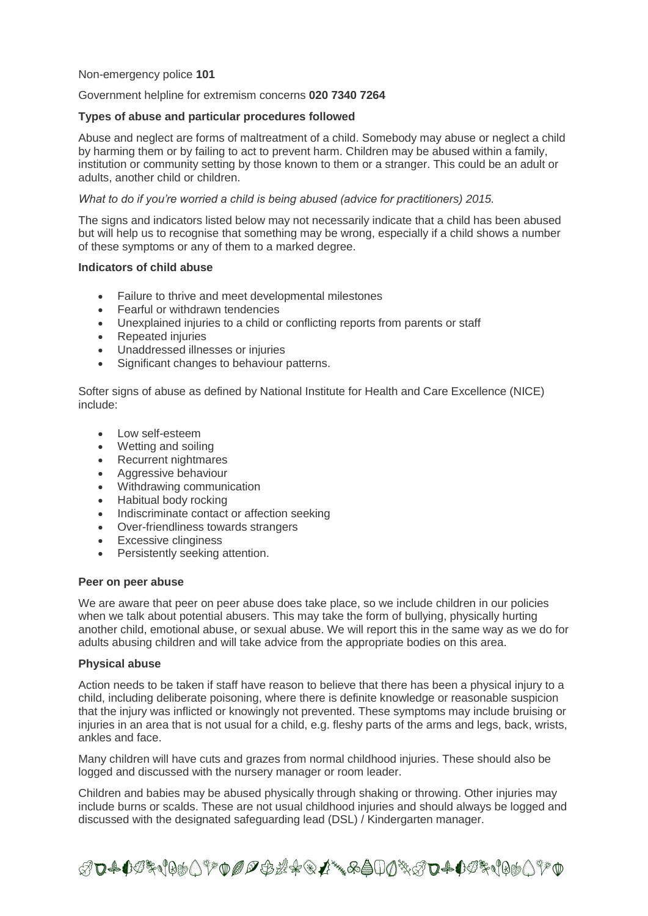#### Non-emergency police **101**

#### Government helpline for extremism concerns **020 7340 7264**

#### **Types of abuse and particular procedures followed**

Abuse and neglect are forms of maltreatment of a child. Somebody may abuse or neglect a child by harming them or by failing to act to prevent harm. Children may be abused within a family, institution or community setting by those known to them or a stranger. This could be an adult or adults, another child or children.

#### *What to do if you're worried a child is being abused (advice for practitioners) 2015.*

The signs and indicators listed below may not necessarily indicate that a child has been abused but will help us to recognise that something may be wrong, especially if a child shows a number of these symptoms or any of them to a marked degree.

## **Indicators of child abuse**

- Failure to thrive and meet developmental milestones
- Fearful or withdrawn tendencies
- Unexplained injuries to a child or conflicting reports from parents or staff
- Repeated injuries
- Unaddressed illnesses or injuries
- Significant changes to behaviour patterns.

Softer signs of abuse as defined by National Institute for Health and Care Excellence (NICE) include:

- Low self-esteem
- Wetting and soiling
- Recurrent nightmares
- Aggressive behaviour
- Withdrawing communication
- Habitual body rocking
- Indiscriminate contact or affection seeking
- Over-friendliness towards strangers
- Excessive clinginess
- Persistently seeking attention.

#### **Peer on peer abuse**

We are aware that peer on peer abuse does take place, so we include children in our policies when we talk about potential abusers. This may take the form of bullying, physically hurting another child, emotional abuse, or sexual abuse. We will report this in the same way as we do for adults abusing children and will take advice from the appropriate bodies on this area.

#### **Physical abuse**

Action needs to be taken if staff have reason to believe that there has been a physical injury to a child, including deliberate poisoning, where there is definite knowledge or reasonable suspicion that the injury was inflicted or knowingly not prevented. These symptoms may include bruising or injuries in an area that is not usual for a child, e.g. fleshy parts of the arms and legs, back, wrists, ankles and face.

Many children will have cuts and grazes from normal childhood injuries. These should also be logged and discussed with the nursery manager or room leader.

Children and babies may be abused physically through shaking or throwing. Other injuries may include burns or scalds. These are not usual childhood injuries and should always be logged and discussed with the designated safeguarding lead (DSL) / Kindergarten manager.

ℛ℧₳<sup>₲</sup><sup></sup>℗℀℩℻ℿℱ℗*℗℗℗ℛ*℀℗ℤ℠℅Åℿⅆ℠ℛ℧₳℄℗℀℩℻ℿ℀℗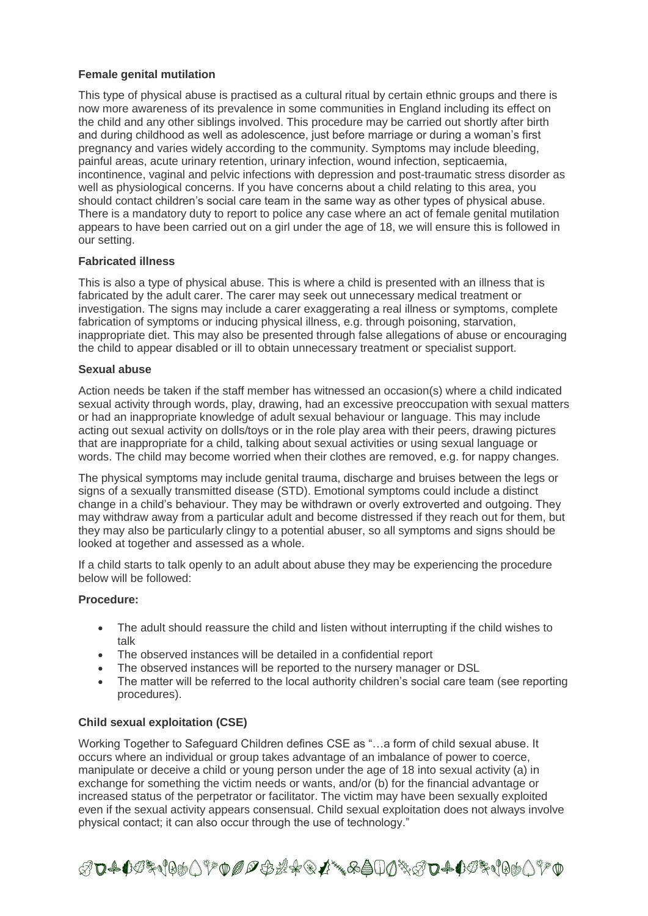# **Female genital mutilation**

This type of physical abuse is practised as a cultural ritual by certain ethnic groups and there is now more awareness of its prevalence in some communities in England including its effect on the child and any other siblings involved. This procedure may be carried out shortly after birth and during childhood as well as adolescence, just before marriage or during a woman's first pregnancy and varies widely according to the community. Symptoms may include bleeding, painful areas, acute urinary retention, urinary infection, wound infection, septicaemia, incontinence, vaginal and pelvic infections with depression and post-traumatic stress disorder as well as physiological concerns. If you have concerns about a child relating to this area, you should contact children's social care team in the same way as other types of physical abuse. There is a mandatory duty to report to police any case where an act of female genital mutilation appears to have been carried out on a girl under the age of 18, we will ensure this is followed in our setting.

# **Fabricated illness**

This is also a type of physical abuse. This is where a child is presented with an illness that is fabricated by the adult carer. The carer may seek out unnecessary medical treatment or investigation. The signs may include a carer exaggerating a real illness or symptoms, complete fabrication of symptoms or inducing physical illness, e.g. through poisoning, starvation, inappropriate diet. This may also be presented through false allegations of abuse or encouraging the child to appear disabled or ill to obtain unnecessary treatment or specialist support.

# **Sexual abuse**

Action needs be taken if the staff member has witnessed an occasion(s) where a child indicated sexual activity through words, play, drawing, had an excessive preoccupation with sexual matters or had an inappropriate knowledge of adult sexual behaviour or language. This may include acting out sexual activity on dolls/toys or in the role play area with their peers, drawing pictures that are inappropriate for a child, talking about sexual activities or using sexual language or words. The child may become worried when their clothes are removed, e.g. for nappy changes.

The physical symptoms may include genital trauma, discharge and bruises between the legs or signs of a sexually transmitted disease (STD). Emotional symptoms could include a distinct change in a child's behaviour. They may be withdrawn or overly extroverted and outgoing. They may withdraw away from a particular adult and become distressed if they reach out for them, but they may also be particularly clingy to a potential abuser, so all symptoms and signs should be looked at together and assessed as a whole.

If a child starts to talk openly to an adult about abuse they may be experiencing the procedure below will be followed:

## **Procedure:**

- The adult should reassure the child and listen without interrupting if the child wishes to talk
- The observed instances will be detailed in a confidential report
- The observed instances will be reported to the nursery manager or DSL
- The matter will be referred to the local authority children's social care team (see reporting procedures).

## **Child sexual exploitation (CSE)**

Working Together to Safeguard Children defines CSE as "…a form of child sexual abuse. It occurs where an individual or group takes advantage of an imbalance of power to coerce, manipulate or deceive a child or young person under the age of 18 into sexual activity (a) in exchange for something the victim needs or wants, and/or (b) for the financial advantage or increased status of the perpetrator or facilitator. The victim may have been sexually exploited even if the sexual activity appears consensual. Child sexual exploitation does not always involve physical contact; it can also occur through the use of technology."

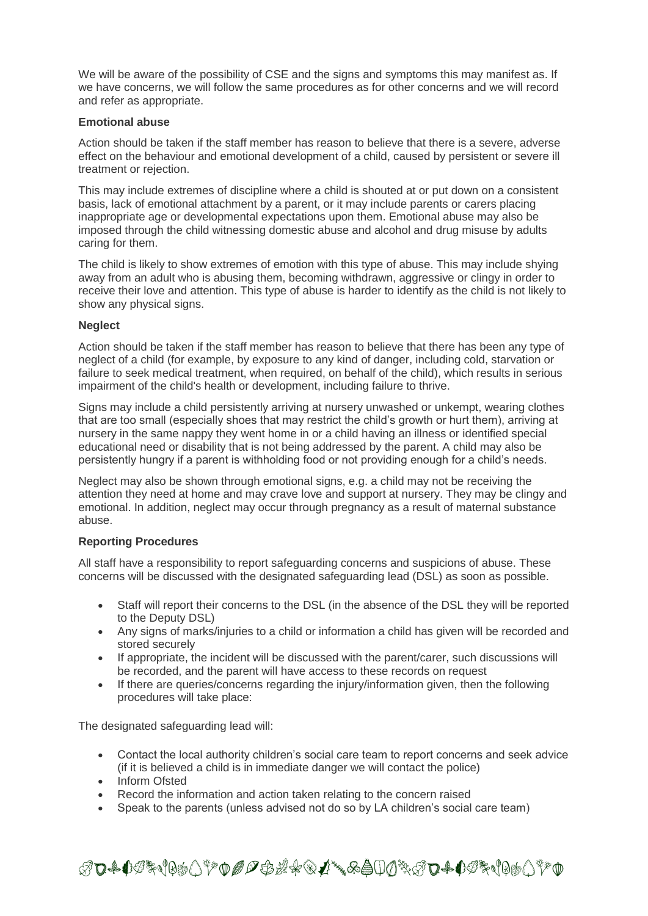We will be aware of the possibility of CSE and the signs and symptoms this may manifest as. If we have concerns, we will follow the same procedures as for other concerns and we will record and refer as appropriate.

# **Emotional abuse**

Action should be taken if the staff member has reason to believe that there is a severe, adverse effect on the behaviour and emotional development of a child, caused by persistent or severe ill treatment or rejection.

This may include extremes of discipline where a child is shouted at or put down on a consistent basis, lack of emotional attachment by a parent, or it may include parents or carers placing inappropriate age or developmental expectations upon them. Emotional abuse may also be imposed through the child witnessing domestic abuse and alcohol and drug misuse by adults caring for them.

The child is likely to show extremes of emotion with this type of abuse. This may include shying away from an adult who is abusing them, becoming withdrawn, aggressive or clingy in order to receive their love and attention. This type of abuse is harder to identify as the child is not likely to show any physical signs.

# **Neglect**

Action should be taken if the staff member has reason to believe that there has been any type of neglect of a child (for example, by exposure to any kind of danger, including cold, starvation or failure to seek medical treatment, when required, on behalf of the child), which results in serious impairment of the child's health or development, including failure to thrive.

Signs may include a child persistently arriving at nursery unwashed or unkempt, wearing clothes that are too small (especially shoes that may restrict the child's growth or hurt them), arriving at nursery in the same nappy they went home in or a child having an illness or identified special educational need or disability that is not being addressed by the parent. A child may also be persistently hungry if a parent is withholding food or not providing enough for a child's needs.

Neglect may also be shown through emotional signs, e.g. a child may not be receiving the attention they need at home and may crave love and support at nursery. They may be clingy and emotional. In addition, neglect may occur through pregnancy as a result of maternal substance abuse.

# **Reporting Procedures**

All staff have a responsibility to report safeguarding concerns and suspicions of abuse. These concerns will be discussed with the designated safeguarding lead (DSL) as soon as possible.

- Staff will report their concerns to the DSL (in the absence of the DSL they will be reported to the Deputy DSL)
- Any signs of marks/injuries to a child or information a child has given will be recorded and stored securely
- If appropriate, the incident will be discussed with the parent/carer, such discussions will be recorded, and the parent will have access to these records on request
- If there are queries/concerns regarding the injury/information given, then the following procedures will take place:

The designated safeguarding lead will:

- Contact the local authority children's social care team to report concerns and seek advice (if it is believed a child is in immediate danger we will contact the police)
- Inform Ofsted
- Record the information and action taken relating to the concern raised
- Speak to the parents (unless advised not do so by LA children's social care team)

ℛ℧₳℧ℐ℀℩℻Å⅀ℱ℗*ⅅ℺℗ℬ℀*ℛℱ⅄℠℅Åℿⅆ℁ℛ℧₳℧ℐ℀℩℻℩℻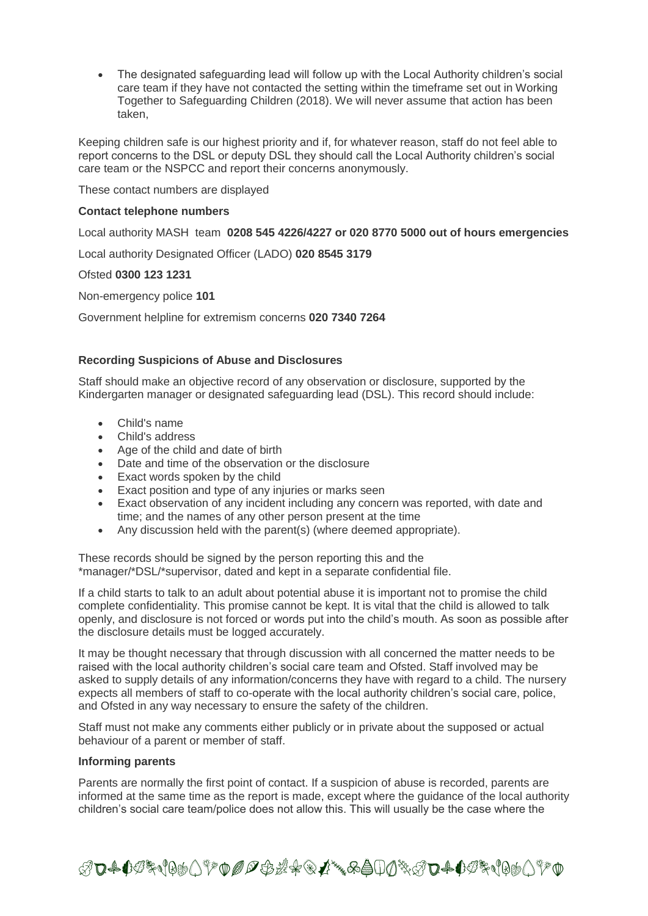The designated safeguarding lead will follow up with the Local Authority children's social care team if they have not contacted the setting within the timeframe set out in Working Together to Safeguarding Children (2018). We will never assume that action has been taken,

Keeping children safe is our highest priority and if, for whatever reason, staff do not feel able to report concerns to the DSL or deputy DSL they should call the Local Authority children's social care team or the NSPCC and report their concerns anonymously.

These contact numbers are displayed

## **Contact telephone numbers**

Local authority MASH team **0208 545 4226/4227 or 020 8770 5000 out of hours emergencies**

Local authority Designated Officer (LADO) **020 8545 3179**

#### Ofsted **0300 123 1231**

Non-emergency police **101**

Government helpline for extremism concerns **020 7340 7264**

## **Recording Suspicions of Abuse and Disclosures**

Staff should make an objective record of any observation or disclosure, supported by the Kindergarten manager or designated safeguarding lead (DSL). This record should include:

- Child's name
- Child's address
- Age of the child and date of birth
- Date and time of the observation or the disclosure
- Exact words spoken by the child
- Exact position and type of any injuries or marks seen
- Exact observation of any incident including any concern was reported, with date and time; and the names of any other person present at the time
- Any discussion held with the parent(s) (where deemed appropriate).

These records should be signed by the person reporting this and the \*manager/\*DSL/\*supervisor, dated and kept in a separate confidential file.

If a child starts to talk to an adult about potential abuse it is important not to promise the child complete confidentiality. This promise cannot be kept. It is vital that the child is allowed to talk openly, and disclosure is not forced or words put into the child's mouth. As soon as possible after the disclosure details must be logged accurately.

It may be thought necessary that through discussion with all concerned the matter needs to be raised with the local authority children's social care team and Ofsted. Staff involved may be asked to supply details of any information/concerns they have with regard to a child. The nursery expects all members of staff to co-operate with the local authority children's social care, police, and Ofsted in any way necessary to ensure the safety of the children.

Staff must not make any comments either publicly or in private about the supposed or actual behaviour of a parent or member of staff.

#### **Informing parents**

Parents are normally the first point of contact. If a suspicion of abuse is recorded, parents are informed at the same time as the report is made, except where the guidance of the local authority children's social care team/police does not allow this. This will usually be the case where the

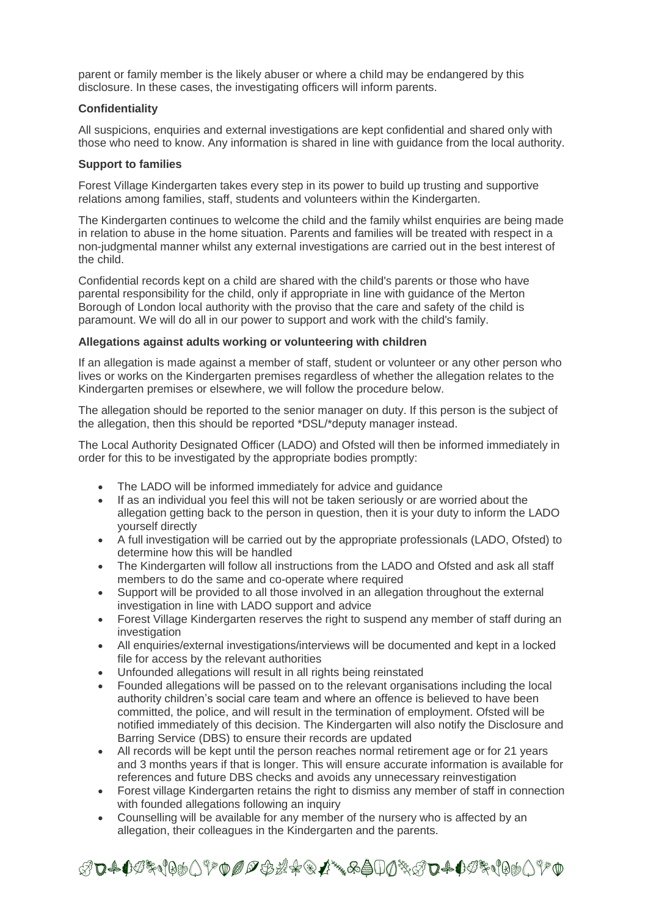parent or family member is the likely abuser or where a child may be endangered by this disclosure. In these cases, the investigating officers will inform parents.

# **Confidentiality**

All suspicions, enquiries and external investigations are kept confidential and shared only with those who need to know. Any information is shared in line with guidance from the local authority.

# **Support to families**

Forest Village Kindergarten takes every step in its power to build up trusting and supportive relations among families, staff, students and volunteers within the Kindergarten.

The Kindergarten continues to welcome the child and the family whilst enquiries are being made in relation to abuse in the home situation. Parents and families will be treated with respect in a non-judgmental manner whilst any external investigations are carried out in the best interest of the child.

Confidential records kept on a child are shared with the child's parents or those who have parental responsibility for the child, only if appropriate in line with guidance of the Merton Borough of London local authority with the proviso that the care and safety of the child is paramount. We will do all in our power to support and work with the child's family.

# **Allegations against adults working or volunteering with children**

If an allegation is made against a member of staff, student or volunteer or any other person who lives or works on the Kindergarten premises regardless of whether the allegation relates to the Kindergarten premises or elsewhere, we will follow the procedure below.

The allegation should be reported to the senior manager on duty. If this person is the subject of the allegation, then this should be reported \*DSL/\*deputy manager instead.

The Local Authority Designated Officer (LADO) and Ofsted will then be informed immediately in order for this to be investigated by the appropriate bodies promptly:

- The LADO will be informed immediately for advice and guidance
- If as an individual you feel this will not be taken seriously or are worried about the allegation getting back to the person in question, then it is your duty to inform the LADO yourself directly
- A full investigation will be carried out by the appropriate professionals (LADO, Ofsted) to determine how this will be handled
- The Kindergarten will follow all instructions from the LADO and Ofsted and ask all staff members to do the same and co-operate where required
- Support will be provided to all those involved in an allegation throughout the external investigation in line with LADO support and advice
- Forest Village Kindergarten reserves the right to suspend any member of staff during an investigation
- All enquiries/external investigations/interviews will be documented and kept in a locked file for access by the relevant authorities
- Unfounded allegations will result in all rights being reinstated
- Founded allegations will be passed on to the relevant organisations including the local authority children's social care team and where an offence is believed to have been committed, the police, and will result in the termination of employment. Ofsted will be notified immediately of this decision. The Kindergarten will also notify the Disclosure and Barring Service (DBS) to ensure their records are updated
- All records will be kept until the person reaches normal retirement age or for 21 years and 3 months years if that is longer. This will ensure accurate information is available for references and future DBS checks and avoids any unnecessary reinvestigation
- Forest village Kindergarten retains the right to dismiss any member of staff in connection with founded allegations following an inquiry
- Counselling will be available for any member of the nursery who is affected by an allegation, their colleagues in the Kindergarten and the parents.

ℛ℧₳<sup>₫</sup><del>℗</del>℀℩℻ℿℱ℗*℗℗℗ℬ*℀℗ℤ℠℅Åℿⅆ℁ℛ℧₳ℐ<sup>ℛ</sup>℩℗ⅆℿℎℿ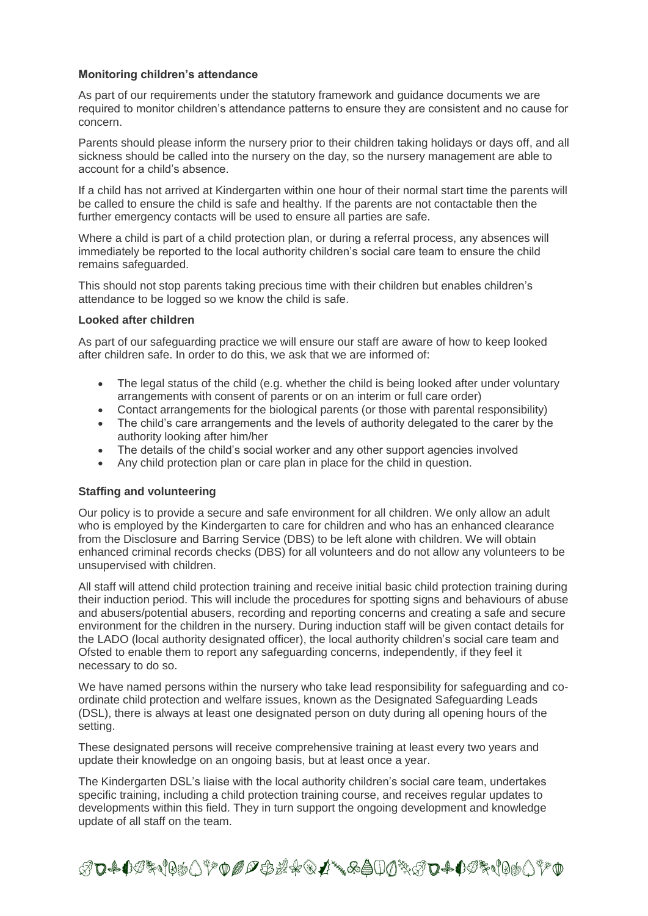# **Monitoring children's attendance**

As part of our requirements under the statutory framework and guidance documents we are required to monitor children's attendance patterns to ensure they are consistent and no cause for concern.

Parents should please inform the nursery prior to their children taking holidays or days off, and all sickness should be called into the nursery on the day, so the nursery management are able to account for a child's absence.

If a child has not arrived at Kindergarten within one hour of their normal start time the parents will be called to ensure the child is safe and healthy. If the parents are not contactable then the further emergency contacts will be used to ensure all parties are safe.

Where a child is part of a child protection plan, or during a referral process, any absences will immediately be reported to the local authority children's social care team to ensure the child remains safeguarded.

This should not stop parents taking precious time with their children but enables children's attendance to be logged so we know the child is safe.

#### **Looked after children**

As part of our safeguarding practice we will ensure our staff are aware of how to keep looked after children safe. In order to do this, we ask that we are informed of:

- The legal status of the child (e.g. whether the child is being looked after under voluntary arrangements with consent of parents or on an interim or full care order)
- Contact arrangements for the biological parents (or those with parental responsibility)
- The child's care arrangements and the levels of authority delegated to the carer by the authority looking after him/her
- The details of the child's social worker and any other support agencies involved
- Any child protection plan or care plan in place for the child in question.

## **Staffing and volunteering**

Our policy is to provide a secure and safe environment for all children. We only allow an adult who is employed by the Kindergarten to care for children and who has an enhanced clearance from the Disclosure and Barring Service (DBS) to be left alone with children. We will obtain enhanced criminal records checks (DBS) for all volunteers and do not allow any volunteers to be unsupervised with children.

All staff will attend child protection training and receive initial basic child protection training during their induction period. This will include the procedures for spotting signs and behaviours of abuse and abusers/potential abusers, recording and reporting concerns and creating a safe and secure environment for the children in the nursery. During induction staff will be given contact details for the LADO (local authority designated officer), the local authority children's social care team and Ofsted to enable them to report any safeguarding concerns, independently, if they feel it necessary to do so.

We have named persons within the nursery who take lead responsibility for safeguarding and coordinate child protection and welfare issues, known as the Designated Safeguarding Leads (DSL), there is always at least one designated person on duty during all opening hours of the setting.

These designated persons will receive comprehensive training at least every two years and update their knowledge on an ongoing basis, but at least once a year.

The Kindergarten DSL's liaise with the local authority children's social care team, undertakes specific training, including a child protection training course, and receives regular updates to developments within this field. They in turn support the ongoing development and knowledge update of all staff on the team.

ℛ℧₳<sup>₫</sup><del>℗</del>℀℩℻ℿℱ℗*℗℗℗ℬ*℀℗ℤ℠℅Åℿⅆ℁ℛ℧₳ℐ<sup>ℛ</sup>℩℗ⅆℿℎℿ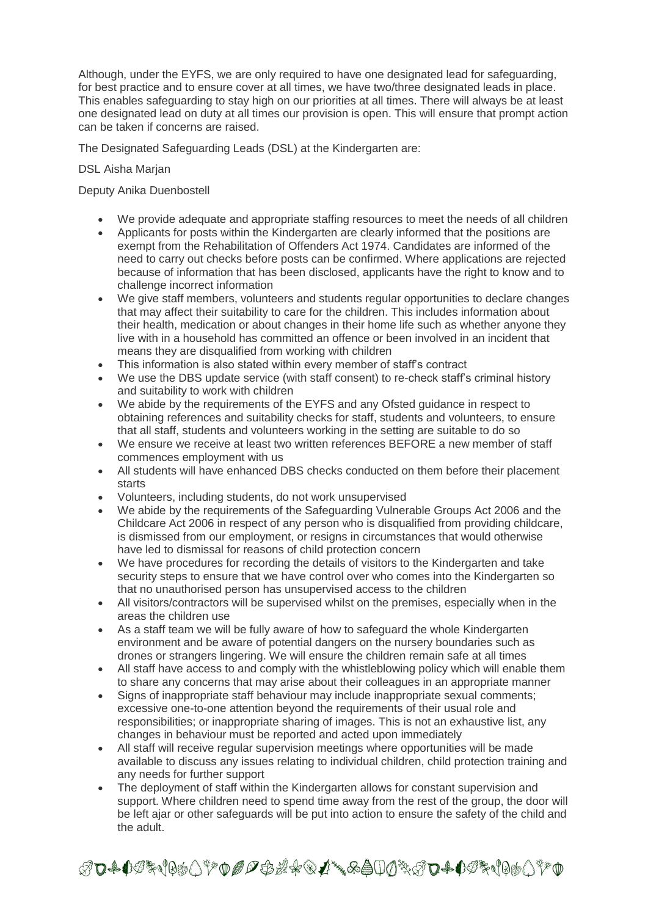Although, under the EYFS, we are only required to have one designated lead for safeguarding, for best practice and to ensure cover at all times, we have two/three designated leads in place. This enables safeguarding to stay high on our priorities at all times. There will always be at least one designated lead on duty at all times our provision is open. This will ensure that prompt action can be taken if concerns are raised.

The Designated Safeguarding Leads (DSL) at the Kindergarten are:

# DSL Aisha Marjan

# Deputy Anika Duenbostell

- We provide adequate and appropriate staffing resources to meet the needs of all children
- Applicants for posts within the Kindergarten are clearly informed that the positions are exempt from the Rehabilitation of Offenders Act 1974. Candidates are informed of the need to carry out checks before posts can be confirmed. Where applications are rejected because of information that has been disclosed, applicants have the right to know and to challenge incorrect information
- We give staff members, volunteers and students regular opportunities to declare changes that may affect their suitability to care for the children. This includes information about their health, medication or about changes in their home life such as whether anyone they live with in a household has committed an offence or been involved in an incident that means they are disqualified from working with children
- This information is also stated within every member of staff's contract
- We use the DBS update service (with staff consent) to re-check staff's criminal history and suitability to work with children
- We abide by the requirements of the EYFS and any Ofsted guidance in respect to obtaining references and suitability checks for staff, students and volunteers, to ensure that all staff, students and volunteers working in the setting are suitable to do so
- We ensure we receive at least two written references BEFORE a new member of staff commences employment with us
- All students will have enhanced DBS checks conducted on them before their placement starts
- Volunteers, including students, do not work unsupervised
- We abide by the requirements of the Safeguarding Vulnerable Groups Act 2006 and the Childcare Act 2006 in respect of any person who is disqualified from providing childcare, is dismissed from our employment, or resigns in circumstances that would otherwise have led to dismissal for reasons of child protection concern
- We have procedures for recording the details of visitors to the Kindergarten and take security steps to ensure that we have control over who comes into the Kindergarten so that no unauthorised person has unsupervised access to the children
- All visitors/contractors will be supervised whilst on the premises, especially when in the areas the children use
- As a staff team we will be fully aware of how to safeguard the whole Kindergarten environment and be aware of potential dangers on the nursery boundaries such as drones or strangers lingering. We will ensure the children remain safe at all times
- All staff have access to and comply with the whistleblowing policy which will enable them to share any concerns that may arise about their colleagues in an appropriate manner
- Signs of inappropriate staff behaviour may include inappropriate sexual comments; excessive one-to-one attention beyond the requirements of their usual role and responsibilities; or inappropriate sharing of images. This is not an exhaustive list, any changes in behaviour must be reported and acted upon immediately
- All staff will receive regular supervision meetings where opportunities will be made available to discuss any issues relating to individual children, child protection training and any needs for further support
- The deployment of staff within the Kindergarten allows for constant supervision and support. Where children need to spend time away from the rest of the group, the door will be left ajar or other safeguards will be put into action to ensure the safety of the child and the adult.

ℛ℧₳℧ℐ℁℩℻Åℾ⅌℗*℗℺℗ℛ*℀℗ℒ℠℅Åℿⅆ℁ℬ℧₳℧ℐ℁℩℻⅃⅌℗